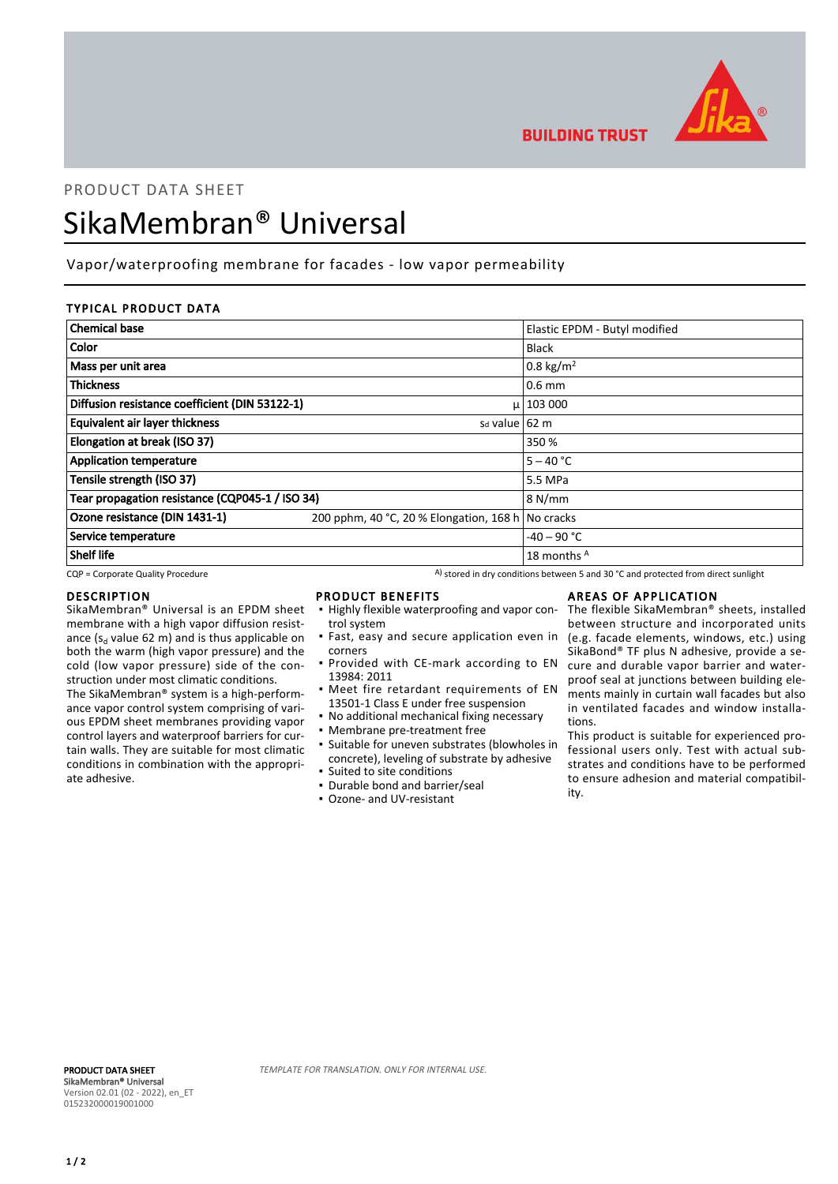

**BUILDING TRUST** 

# PRODUCT DATA SHEET SikaMembran® Universal

# Vapor/waterproofing membrane for facades - low vapor permeability

## TYPICAL PRODUCT DATA

| <b>Chemical base</b>                            |                                                   | Elastic EPDM - Butyl modified |
|-------------------------------------------------|---------------------------------------------------|-------------------------------|
| <b>Color</b>                                    |                                                   | <b>Black</b>                  |
| Mass per unit area                              |                                                   | 0.8 kg/m <sup>2</sup>         |
| <b>Thickness</b>                                |                                                   | $0.6$ mm                      |
| Diffusion resistance coefficient (DIN 53122-1)  |                                                   | $\mu$   103 000               |
| <b>Equivalent air layer thickness</b>           | s <sub>d</sub> value 62 m                         |                               |
| Elongation at break (ISO 37)                    |                                                   | 350 %                         |
| <b>Application temperature</b>                  |                                                   | $5 - 40 °C$                   |
| Tensile strength (ISO 37)                       |                                                   | 5.5 MPa                       |
| Tear propagation resistance (CQP045-1 / ISO 34) |                                                   | 8 N/mm                        |
| Ozone resistance (DIN 1431-1)                   | 200 pphm, 40 °C, 20 % Elongation, 168 h No cracks |                               |
| Service temperature                             |                                                   | $-40 - 90$ °C                 |
| Shelf life                                      |                                                   | 18 months A                   |

 $CQP$  = Corporate Quality Procedure  $A)$  stored in dry conditions between 5 and 30 °C and protected from direct sunlight

#### DESCRIPTION

SikaMembran® Universal is an EPDM sheet membrane with a high vapor diffusion resistance ( $s_d$  value 62 m) and is thus applicable on both the warm (high vapor pressure) and the cold (low vapor pressure) side of the construction under most climatic conditions.

The SikaMembran® system is a high-performance vapor control system comprising of various EPDM sheet membranes providing vapor control layers and waterproof barriers for curtain walls. They are suitable for most climatic conditions in combination with the appropriate adhesive.

#### PRODUCT BENEFITS

- **.** Highly flexible waterproofing and vapor control system
- **·** Fast, easy and secure application even in corners
- **Provided with CE-mark according to EN** 13984: 2011
- **•** Meet fire retardant requirements of EN 13501-1 Class E under free suspension
- No additional mechanical fixing necessary
- Membrane pre-treatment free
- Suitable for uneven substrates (blowholes in concrete), leveling of substrate by adhesive ▪ Suited to site conditions
- Durable bond and barrier/seal
- Ozone- and UV-resistant

# AREAS OF APPLICATION

The flexible SikaMembran® sheets, installed between structure and incorporated units (e.g. facade elements, windows, etc.) using SikaBond® TF plus N adhesive, provide a secure and durable vapor barrier and waterproof seal at junctions between building elements mainly in curtain wall facades but also in ventilated facades and window installations.

This product is suitable for experienced professional users only. Test with actual substrates and conditions have to be performed to ensure adhesion and material compatibility.